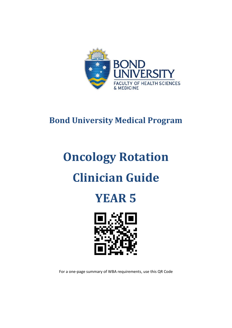

# **Bond University Medical Program**

# **Oncology Rotation Clinician Guide**





For a one-page summary of WBA requirements, use this QR Code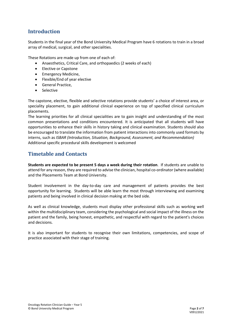## **Introduction**

Students in the final year of the Bond University Medical Program have 6 rotations to train in a broad array of medical, surgical, and other specialities.

These Rotations are made up from one of each of:

- Anaesthetics, Critical Care, and orthopaedics (2 weeks of each)
- Elective or Capstone
- Emergency Medicine,
- Flexible/End of year elective
- General Practice,
- Selective

The capstone, elective, flexible and selective rotations provide students' a choice of interest area, or speciality placement, to gain additional clinical experience on top of specified clinical curriculum placements.

The learning priorities for all clinical specialities are to gain insight and understanding of the most common presentations and conditions encountered. It is anticipated that all students will have opportunities to enhance their skills in history taking and clinical examination. Students should also be encouraged to translate the information from patient interactions into commonly used formats by interns, such as *ISBAR (Introduction, Situation, Background, Assessment, and Recommendation)* Additional specific procedural skills development is welcomed

#### **Timetable and Contacts**

**Students are expected to be present 5 days a week during their rotation**. If students are unable to attend for any reason, they are required to advise the clinician, hospital co-ordinator (where available) and the Placements Team at Bond University.

Student involvement in the day-to-day care and management of patients provides the best opportunity for learning. Students will be able learn the most through interviewing and examining patients and being involved in clinical decision making at the bed side.

As well as clinical knowledge, students must display other professional skills such as working well within the multidisciplinary team, considering the psychological and social impact of the illness on the patient and the family, being honest, empathetic, and respectful with regard to the patient's choices and decisions.

It is also important for students to recognise their own limitations, competencies, and scope of practice associated with their stage of training.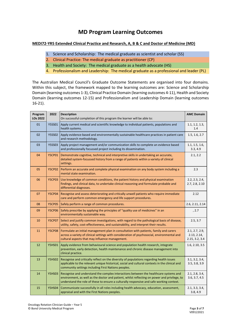# **MD Program Learning Outcomes**

#### **MEDI72-YR5 Extended Clinical Practice and Research, A, B & C and Doctor of Medicine (MD)**

- 1. Science and Scholarship: The medical graduate as scientist and scholar (SS)
- 2. Clinical Practice: The medical graduate as practitioner (CP)
- 3. Health and Society: The medical graduate as a health advocate (HS)
- 4. Professionalism and Leadership: The medical graduate as a professional and leader (PL)

The Australian Medical Council's Graduate Outcome Statements are organised into four domains. Within this subject, the framework mapped to the learning outcomes are: Science and Scholarship Domain (learning outcomes 1-3), Clinical Practice Domain (learning outcomes 4-11), Health and Society Domain (learning outcomes 12-15) and Professionalism and Leadership Domain (learning outcomes 16-21).

| Program<br>LOs 2022 | 2022          | <b>Description</b><br>On successful completion of this program the learner will be able to:                                                                                                                                                                                      | <b>AMC Domain</b>                               |
|---------------------|---------------|----------------------------------------------------------------------------------------------------------------------------------------------------------------------------------------------------------------------------------------------------------------------------------|-------------------------------------------------|
| 01                  | <b>Y5SS01</b> | Apply current medical and scientific knowledge to individual patients, populations and<br>health systems.                                                                                                                                                                        | 1.1, 1.2, 1.3,<br>1.4                           |
| 02                  | <b>Y5SS02</b> | Apply evidence-based and environmentally sustainable healthcare practices in patient care<br>and research methodology.                                                                                                                                                           | 1.5, 1.6, 2.7                                   |
| 03                  | <b>Y5SS03</b> | Apply project management and/or communication skills to complete an evidence based<br>and professionally focussed project including its dissemination.                                                                                                                           | 1.1, 1.5, 1.6,<br>3.3, 4.9                      |
| 04                  | <b>Y5CP01</b> | Demonstrate cognitive, technical and interpretive skills in undertaking an accurate,<br>detailed system-focussed history from a range of patients within a variety of clinical<br>settings.                                                                                      | 2.1, 2.2                                        |
| 05                  | <b>Y5CP02</b> | Perform an accurate and complete physical examination on any body system including a<br>mental state examination.                                                                                                                                                                | 2.3                                             |
| 06                  | <b>Y5CP03</b> | Use knowledge of common conditions, the patient history and physical examination<br>findings, and clinical data, to undertake clinical reasoning and formulate probable and<br>differential diagnoses.                                                                           | 2.2, 2.3, 2.4,<br>2.7, 2.8, 2.10                |
| 07                  | <b>Y5CP04</b> | Recognise and assess deteriorating and critically unwell patients who require immediate<br>care and perform common emergency and life support procedures.                                                                                                                        | 2.12                                            |
| 08                  | <b>Y5CP05</b> | Safely perform a range of common procedures.                                                                                                                                                                                                                                     | 2.6, 2.11, 2.14                                 |
| 09                  | <b>Y5CP06</b> | Safely prescribe by applying the principles of "quality use of medicines" in an<br>environmentally sustainable way.                                                                                                                                                              | , 2.7                                           |
| 10                  | <b>Y5CP07</b> | Select and justify common investigations, with regard to the pathological basis of disease,<br>utility, safety, cost-effectiveness, and sustainability, and interpret their results.                                                                                             | 2.5, 3.7                                        |
| 11                  | <b>Y5CP08</b> | Formulate an initial management plan in consultation with patients, family and carers<br>across a variety of clinical settings with consideration of psychosocial, environmental and<br>cultural aspects that may influence management.                                          | 2.1, 2.7, 2.9,<br>2.13, 2.14,<br>2.15, 3.2, 3.4 |
| 12                  | <b>Y5HS01</b> | Apply evidence from behavioural science and population health research, integrate<br>prevention, early detection, health maintenance and chronic disease management into<br>clinical practice.                                                                                   | 1.6, 2.10, 3.5                                  |
| 13                  | <b>Y5HS02</b> | Recognise and critically reflect on the diversity of populations regarding health issues<br>applicable to the relevant unique historical, social and cultural contexts in the clinical and<br>community settings including First Nations peoples.                                | 3.1, 3.2, 3.4,<br>3.5, 3.8, 3.9                 |
| 14                  | <b>Y5HS03</b> | Recognise and understand the complex interactions between the healthcare systems and<br>environment, as well as the doctor and patient, whilst reflecting on power and privilege, to<br>understand the role of these to ensure a culturally responsive and safe working context. | 2.1, 2.8, 3.4,<br>3.6, 3.7, 4.5                 |
| 15                  | <b>Y5HS04</b> | Communicate successfully in all roles including health advocacy, education, assessment,<br>appraisal and with the First Nations peoples.                                                                                                                                         | 2.1, 3.3, 3.4,<br>3.8, 4.9                      |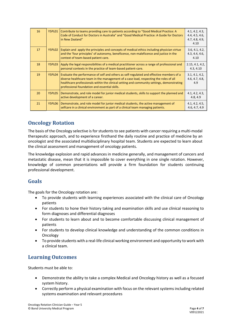| 16 | Y5PL01 | Contribute to teams providing care to patients according to "Good Medical Practice: A<br>Code of Conduct for Doctors in Australia" and "Good Medical Practice: A Guide for Doctors<br>in New Zealand"                                                                                                                            | 4.1, 4.2, 4.3,<br>4.4, 4.5, 4.6,<br>4.7, 4.8, 4.9,<br>4.10 |
|----|--------|----------------------------------------------------------------------------------------------------------------------------------------------------------------------------------------------------------------------------------------------------------------------------------------------------------------------------------|------------------------------------------------------------|
| 17 | Y5PL02 | Explain and apply the principles and concepts of medical ethics including physician virtue<br>and the 'four principles' of autonomy, beneficence, non-maleficence and justice in the<br>context of team-based patient care.                                                                                                      | 3.6, 4.1, 4.2,<br>4.3, 4.4, 4.6,<br>4.10                   |
| 18 | Y5PL03 | Apply the legal responsibilities of a medical practitioner across a range of professional and<br>personal contexts in the practice of team-based patient-care.                                                                                                                                                                   | 2.15, 4.1, 4.2,<br>4.3, 4.10                               |
| 19 | Y5PL04 | Evaluate the performance of self and others as self-regulated and effective members of a<br>diverse healthcare team in the management of a case load, respecting the roles of all<br>healthcare professionals within the clinical setting and community settings, demonstrating<br>professional foundation and essential skills. | 3.1, 4.1, 4.2,<br>4.6, 4.7, 4.8,<br>4.9                    |
| 20 | Y5PL05 | Demonstrate, and role model for junior medical students, skills to support the planned and<br>active development of a career.                                                                                                                                                                                                    | 4.1, 4.2, 4.3,<br>4.8, 4.9                                 |
| 21 | Y5PL06 | Demonstrate, and role model for junior medical students, the active management of<br>selfcare in a clinical environment as part of a clinical team managing patients.                                                                                                                                                            | 4.1, 4.2, 4.5,<br>4.6, 4.7, 4.9                            |

### **Oncology Rotation**

The basis of the Oncology selective is for students to see patients with cancer requiring a multi-modal therapeutic approach, and to experience firsthand the daily routine and practice of medicine by an oncologist and the associated multidisciplinary hospital team. Students are expected to learn about the clinical assessment and management of oncology patients.

The knowledge explosion and rapid advances in medicine generally, and management of cancers and metastatic disease, mean that it is impossible to cover everything in one single rotation. However, knowledge of common presentations will provide a firm foundation for students continuing professional development.

#### **Goals**

The goals for the Oncology rotation are:

- To provide students with learning experiences associated with the clinical care of Oncology patients
- For students to hone their history taking and examination skills and use clinical reasoning to form diagnoses and differential diagnoses
- For students to learn about and to become comfortable discussing clinical management of patients
- For students to develop clinical knowledge and understanding of the common conditions in Oncology
- To provide students with a real-life clinical working environment and opportunity to work with a clinical team.

# **Learning Outcomes**

Students must be able to:

- Demonstrate the ability to take a complex Medical and Oncology history as well as a focused system history.
- Correctly perform a physical examination with focus on the relevant systems including related systems examination and relevant procedures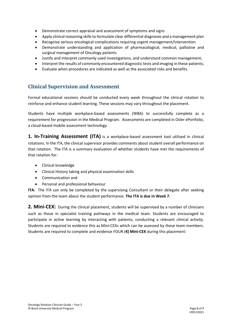- Demonstrate correct appraisal and assessment of symptoms and signs
- Apply clinical reasoning skills to formulate clear differential diagnoses and a management plan
- Recognise serious oncological complications requiring urgent management/intervention
- Demonstrate understanding and application of pharmacological, medical, palliative and surgical management of Oncology patients
- Justify and interpret commonly used investigations, and understand common management;
- Interpret the results of commonly encountered diagnostic tests and imaging in these patients;
- Evaluate when procedures are indicated as well as the associated risks and benefits.

#### **Clinical Supervision and Assessment**

Formal educational sessions should be conducted every week throughout the clinical rotation to reinforce and enhance student learning. These sessions may vary throughout the placement.

Students have multiple workplace-based assessments (WBA) to successfully complete as a requirement for progression in the Medical Program. Assessments are completed in Osler ePortfolio, a cloud-based mobile assessment technology.

**1. In-Training Assessment (ITA)** is a workplace-based assessment tool utilised in clinical rotations. In the ITA, the clinical supervisor provides comments about student overall performance on that rotation. The ITA is a summary evaluation of whether students have met the requirements of that rotation for:

- Clinical knowledge
- Clinical History taking and physical examination skills
- Communication and
- Personal and professional behaviour

**ITA:** The ITA can only be completed by the supervising Consultant or their delegate after seeking opinion from the team about the student performance. **The ITA is due in Week 7.**

**2. Mini-CEX:** During the clinical placement, students will be supervised by a number of clinicians such as those in specialist training pathways in the medical team. Students are encouraged to participate in active learning by interacting with patients, conducting a relevant clinical activity. Students are required to evidence this as Mini-CEXs which can be assessed by these team members. Students are required to complete and evidence FOUR (**4) Mini-CEX** during this placement: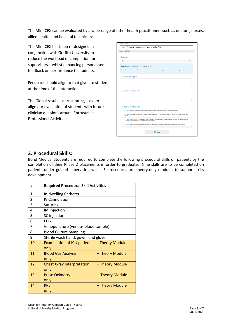The Mini-CEX can be evaluated by a wide range of other health practitioners such as doctors, nurses, allied health, and hospital technicians

The Mini-CEX has been re-designed in conjunction with Griffith University to reduce the workload of completion for supervisors – whilst enhancing personalised feedback on performance to students.

Feedback should align to that given to students at the time of the interaction.

The Global result is a trust rating scale to align our evaluation of students with future clinician decisions around Entrustable Professional Activities.

| <b>Assessment Criteria</b>       |                                                                                                                                                                             |
|----------------------------------|-----------------------------------------------------------------------------------------------------------------------------------------------------------------------------|
| Location*                        |                                                                                                                                                                             |
| Select Location                  |                                                                                                                                                                             |
|                                  | Feedback to assist student's learning:<br>Please describe the Student's Performance: what was effective and ineffective, your overall impression and any specific feedback. |
| Areas of strength:*              |                                                                                                                                                                             |
|                                  |                                                                                                                                                                             |
| Areas of development:*           |                                                                                                                                                                             |
|                                  | O 1. Requires my assistance to complete this task safely in addition to close direct supervision                                                                            |
| Global Overall result:*<br>task) | O 2. Requires direct supervision (I need to be present with the student to observe the interaction and review the                                                           |
|                                  | O 3. Requires proximal supervision (I need to be in an adjacent room or on the same ward as the student and be<br>able to provide immediate or detailed review of task)     |

#### **3. Procedural Skills:**

Bond Medical Students are required to complete the following procedural skills on patients by the completion of their Phase 2 placements in order to graduate. Nine skills are to be completed on patients under guided supervision whilst 5 procedures are theory-only modules to support skills development.

| #              | <b>Required Procedural Skill Activities</b>                  |
|----------------|--------------------------------------------------------------|
| 1              | In-dwelling Catheter                                         |
| $\overline{2}$ | <b>IV Cannulation</b>                                        |
| 3              | Suturing                                                     |
| 4              | IM injection                                                 |
| 5              | SC injection                                                 |
| 6              | <b>ECG</b>                                                   |
| 7              | Venepuncture (venous blood sample)                           |
| 8              | <b>Blood Culture Sampling</b>                                |
| 9              | Sterile wash hand, gown, and glove                           |
| 10             | Examination of ICU patient - Theory Module<br>only           |
| 11             | <b>Blood Gas Analysis</b><br>- Theory Module<br>only         |
| 12             | <b>Chest X-ray Interpretation</b><br>- Theory Module<br>only |
| 13             | <b>Pulse Oximetry</b><br>- Theory Module<br>only             |
| 14             | <b>PPF</b><br>- Theory Module<br>only                        |